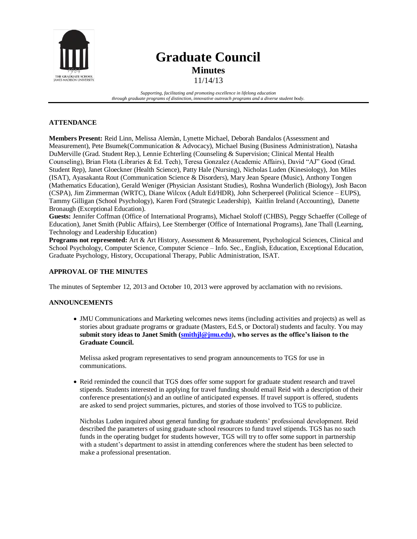

# **Graduate Council Minutes**

11/14/13

*Supporting, facilitating and promoting excellence in lifelong education through graduate programs of distinction, innovative outreach programs and a diverse student body.*

## **ATTENDANCE**

**Members Present:** Reid Linn, Melissa Alemàn, Lynette Michael, Deborah Bandalos (Assessment and Measurement), Pete Bsumek(Communication & Advocacy), Michael Busing (Business Administration), Natasha DuMerville (Grad. Student Rep.), Lennie Echterling (Counseling & Supervision; Clinical Mental Health Counseling), Brian Flota (Libraries & Ed. Tech), Teresa Gonzalez (Academic Affairs), David "AJ" Good (Grad. Student Rep), Janet Gloeckner (Health Science), Patty Hale (Nursing), Nicholas Luden (Kinesiology), Jon Miles (ISAT), Ayasakanta Rout (Communication Science & Disorders), Mary Jean Speare (Music), Anthony Tongen (Mathematics Education), Gerald Weniger (Physician Assistant Studies), Roshna Wunderlich (Biology), Josh Bacon (CSPA), Jim Zimmerman (WRTC), Diane Wilcox (Adult Ed/HDR), John Scherpereel (Political Science – EUPS), Tammy Gilligan (School Psychology), Karen Ford (Strategic Leadership), Kaitlin Ireland (Accounting), Danette Bronaugh (Exceptional Education).

**Guests:** Jennifer Coffman (Office of International Programs), Michael Stoloff (CHBS), Peggy Schaeffer (College of Education), Janet Smith (Public Affairs), Lee Sternberger (Office of International Programs), Jane Thall (Learning, Technology and Leadership Education)

**Programs not represented:** Art & Art History, Assessment & Measurement, Psychological Sciences, Clinical and School Psychology, Computer Science, Computer Science – Info. Sec., English, Education, Exceptional Education, Graduate Psychology, History, Occupational Therapy, Public Administration, ISAT.

## **APPROVAL OF THE MINUTES**

The minutes of September 12, 2013 and October 10, 2013 were approved by acclamation with no revisions.

#### **ANNOUNCEMENTS**

 JMU Communications and Marketing welcomes news items (including activities and projects) as well as stories about graduate programs or graduate (Masters, Ed.S, or Doctoral) students and faculty. You may **submit story ideas to Janet Smith [\(smithjl@jmu.edu\)](file:///C:/Users/good2da/Desktop/smithjl@jmu.edu), who serves as the office's liaison to the Graduate Council.**

Melissa asked program representatives to send program announcements to TGS for use in communications.

 Reid reminded the council that TGS does offer some support for graduate student research and travel stipends. Students interested in applying for travel funding should email Reid with a description of their conference presentation(s) and an outline of anticipated expenses. If travel support is offered, students are asked to send project summaries, pictures, and stories of those involved to TGS to publicize.

Nicholas Luden inquired about general funding for graduate students' professional development. Reid described the parameters of using graduate school resources to fund travel stipends. TGS has no such funds in the operating budget for students however, TGS will try to offer some support in partnership with a student's department to assist in attending conferences where the student has been selected to make a professional presentation.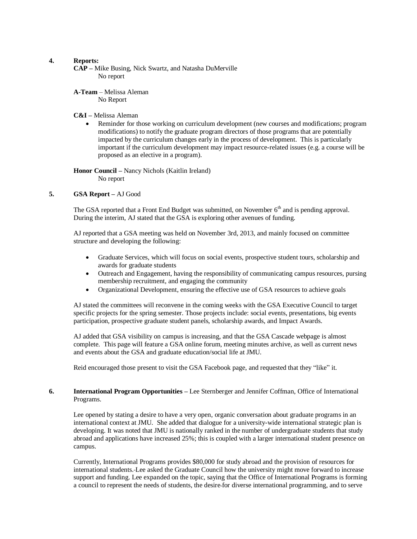#### **4. Reports:**

**CAP –** Mike Busing, Nick Swartz, and Natasha DuMerville No report

**A-Team** – Melissa Aleman No Report

#### **C&I –** Melissa Aleman

 Reminder for those working on curriculum development (new courses and modifications; program modifications) to notify the graduate program directors of those programs that are potentially impacted by the curriculum changes early in the process of development. This is particularly important if the curriculum development may impact resource-related issues (e.g. a course will be proposed as an elective in a program).

**Honor Council –** Nancy Nichols (Kaitlin Ireland) No report

#### **5. GSA Report –** AJ Good

The GSA reported that a Front End Budget was submitted, on November  $6<sup>th</sup>$  and is pending approval. During the interim, AJ stated that the GSA is exploring other avenues of funding.

AJ reported that a GSA meeting was held on November 3rd, 2013, and mainly focused on committee structure and developing the following:

- Graduate Services, which will focus on social events, prospective student tours, scholarship and awards for graduate students
- Outreach and Engagement, having the responsibility of communicating campus resources, pursing membership recruitment, and engaging the community
- Organizational Development, ensuring the effective use of GSA resources to achieve goals

AJ stated the committees will reconvene in the coming weeks with the GSA Executive Council to target specific projects for the spring semester. Those projects include: social events, presentations, big events participation, prospective graduate student panels, scholarship awards, and Impact Awards.

AJ added that GSA visibility on campus is increasing, and that the GSA Cascade webpage is almost complete. This page will feature a GSA online forum, meeting minutes archive, as well as current news and events about the GSA and graduate education/social life at JMU.

Reid encouraged those present to visit the GSA Facebook page, and requested that they "like" it.

#### **6. International Program Opportunities –** Lee Sternberger and Jennifer Coffman, Office of International Programs.

Lee opened by stating a desire to have a very open, organic conversation about graduate programs in an international context at JMU. She added that dialogue for a university-wide international strategic plan is developing. It was noted that JMU is nationally ranked in the number of undergraduate students that study abroad and applications have increased 25%; this is coupled with a larger international student presence on campus.

Currently, International Programs provides \$80,000 for study abroad and the provision of resources for international students. Lee asked the Graduate Council how the university might move forward to increase support and funding. Lee expanded on the topic, saying that the Office of International Programs is forming a council to represent the needs of students, the desire for diverse international programming, and to serve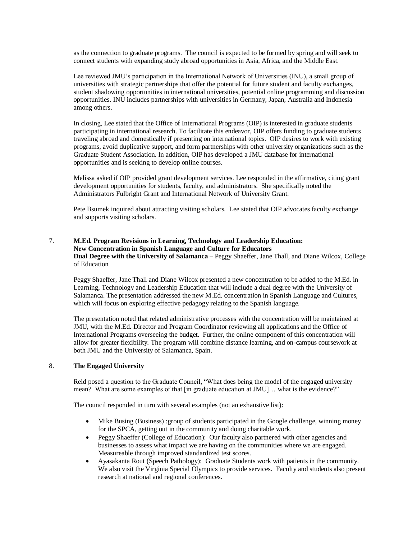as the connection to graduate programs. The council is expected to be formed by spring and will seek to connect students with expanding study abroad opportunities in Asia, Africa, and the Middle East.

Lee reviewed JMU's participation in the International Network of Universities (INU), a small group of universities with strategic partnerships that offer the potential for future student and faculty exchanges, student shadowing opportunities in international universities, potential online programming and discussion opportunities. INU includes partnerships with universities in Germany, Japan, Australia and Indonesia among others.

In closing, Lee stated that the Office of International Programs (OIP) is interested in graduate students participating in international research. To facilitate this endeavor, OIP offers funding to graduate students traveling abroad and domestically if presenting on international topics. OIP desires to work with existing programs, avoid duplicative support, and form partnerships with other university organizations such as the Graduate Student Association. In addition, OIP has developed a JMU database for international opportunities and is seeking to develop online courses.

Melissa asked if OIP provided grant development services. Lee responded in the affirmative, citing grant development opportunities for students, faculty, and administrators. She specifically noted the Administrators Fulbright Grant and International Network of University Grant.

Pete Bsumek inquired about attracting visiting scholars. Lee stated that OIP advocates faculty exchange and supports visiting scholars.

## 7. **M.Ed. Program Revisions in Learning, Technology and Leadership Education: New Concentration in Spanish Language and Culture for Educators Dual Degree with the University of Salamanca** – Peggy Shaeffer, Jane Thall, and Diane Wilcox, College of Education

Peggy Shaeffer, Jane Thall and Diane Wilcox presented a new concentration to be added to the M.Ed. in Learning, Technology and Leadership Education that will include a dual degree with the University of Salamanca. The presentation addressed the new M.Ed. concentration in Spanish Language and Cultures, which will focus on exploring effective pedagogy relating to the Spanish language.

The presentation noted that related administrative processes with the concentration will be maintained at JMU, with the M.Ed. Director and Program Coordinator reviewing all applications and the Office of International Programs overseeing the budget. Further, the online component of this concentration will allow for greater flexibility. The program will combine distance learning, and on-campus coursework at both JMU and the University of Salamanca, Spain.

#### 8. **The Engaged University**

Reid posed a question to the Graduate Council, "What does being the model of the engaged university mean? What are some examples of that [in graduate education at JMU]... what is the evidence?"

The council responded in turn with several examples (not an exhaustive list):

- Mike Busing (Business) :group of students participated in the Google challenge, winning money for the SPCA, getting out in the community and doing charitable work.
- Peggy Shaeffer (College of Education): Our faculty also partnered with other agencies and businesses to assess what impact we are having on the communities where we are engaged. Measureable through improved standardized test scores.
- Ayasakanta Rout (Speech Pathology): Graduate Students work with patients in the community. We also visit the Virginia Special Olympics to provide services. Faculty and students also present research at national and regional conferences.